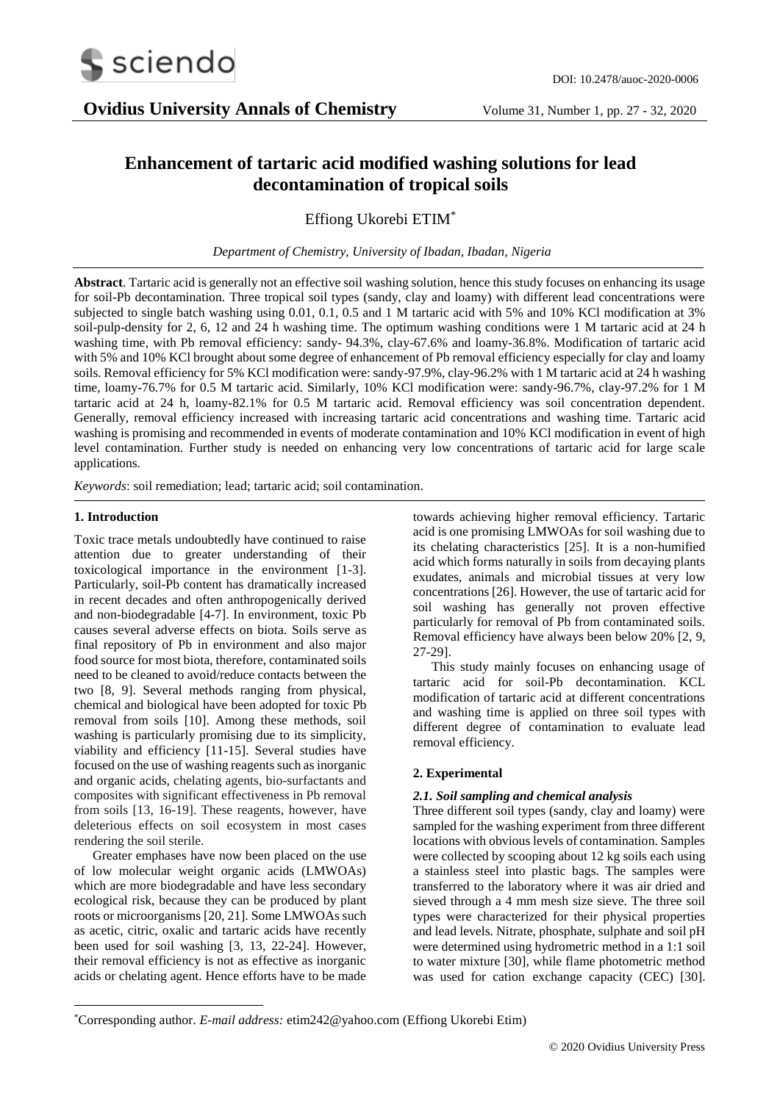

# **Enhancement of tartaric acid modified washing solutions for lead decontamination of tropical soils**

Effiong Ukorebi ETIM\*

*Department of Chemistry, University of Ibadan, Ibadan, Nigeria*

**Abstract**. Tartaric acid is generally not an effective soil washing solution, hence this study focuses on enhancing its usage for soil-Pb decontamination. Three tropical soil types (sandy, clay and loamy) with different lead concentrations were subjected to single batch washing using 0.01, 0.1, 0.5 and 1 M tartaric acid with 5% and 10% KCl modification at 3% soil-pulp-density for 2, 6, 12 and 24 h washing time. The optimum washing conditions were 1 M tartaric acid at 24 h washing time, with Pb removal efficiency: sandy- 94.3%, clay-67.6% and loamy-36.8%. Modification of tartaric acid with 5% and 10% KCl brought about some degree of enhancement of Pb removal efficiency especially for clay and loamy soils. Removal efficiency for 5% KCl modification were: sandy-97.9%, clay-96.2% with 1 M tartaric acid at 24 h washing time, loamy-76.7% for 0.5 M tartaric acid. Similarly, 10% KCl modification were: sandy-96.7%, clay-97.2% for 1 M tartaric acid at 24 h, loamy-82.1% for 0.5 M tartaric acid. Removal efficiency was soil concentration dependent. Generally, removal efficiency increased with increasing tartaric acid concentrations and washing time. Tartaric acid washing is promising and recommended in events of moderate contamination and 10% KCl modification in event of high level contamination. Further study is needed on enhancing very low concentrations of tartaric acid for large scale applications*.* 

*Keywords*: soil remediation; lead; tartaric acid; soil contamination.

# **1. Introduction**

-

Toxic trace metals undoubtedly have continued to raise attention due to greater understanding of their toxicological importance in the environment [1-3]. Particularly, soil-Pb content has dramatically increased in recent decades and often anthropogenically derived and non-biodegradable [4-7]. In environment, toxic Pb causes several adverse effects on biota. Soils serve as final repository of Pb in environment and also major food source for most biota, therefore, contaminated soils need to be cleaned to avoid/reduce contacts between the two [8, 9]. Several methods ranging from physical, chemical and biological have been adopted for toxic Pb removal from soils [10]. Among these methods, soil washing is particularly promising due to its simplicity, viability and efficiency [11-15]. Several studies have focused on the use of washing reagents such as inorganic and organic acids, chelating agents, bio-surfactants and composites with significant effectiveness in Pb removal from soils [13, 16-19]. These reagents, however, have deleterious effects on soil ecosystem in most cases rendering the soil sterile.

Greater emphases have now been placed on the use of low molecular weight organic acids (LMWOAs) which are more biodegradable and have less secondary ecological risk, because they can be produced by plant roots or microorganisms [20, 21]. Some LMWOAs such as acetic, citric, oxalic and tartaric acids have recently been used for soil washing [3, 13, 22-24]. However, their removal efficiency is not as effective as inorganic acids or chelating agent. Hence efforts have to be made

towards achieving higher removal efficiency. Tartaric acid is one promising LMWOAs for soil washing due to its chelating characteristics [25]. It is a non-humified acid which forms naturally in soils from decaying plants exudates, animals and microbial tissues at very low concentrations [26]. However, the use of tartaric acid for soil washing has generally not proven effective particularly for removal of Pb from contaminated soils. Removal efficiency have always been below 20% [2, 9, 27-29].

This study mainly focuses on enhancing usage of tartaric acid for soil-Pb decontamination. KCL modification of tartaric acid at different concentrations and washing time is applied on three soil types with different degree of contamination to evaluate lead removal efficiency.

# **2. Experimental**

# *2.1. Soil sampling and chemical analysis*

Three different soil types (sandy, clay and loamy) were sampled for the washing experiment from three different locations with obvious levels of contamination. Samples were collected by scooping about 12 kg soils each using a stainless steel into plastic bags. The samples were transferred to the laboratory where it was air dried and sieved through a 4 mm mesh size sieve. The three soil types were characterized for their physical properties and lead levels. Nitrate, phosphate, sulphate and soil pH were determined using hydrometric method in a 1:1 soil to water mixture [30], while flame photometric method was used for cation exchange capacity (CEC) [30].

<sup>\*</sup>Corresponding author. *E-mail address:* etim242@yahoo.com (Effiong Ukorebi Etim)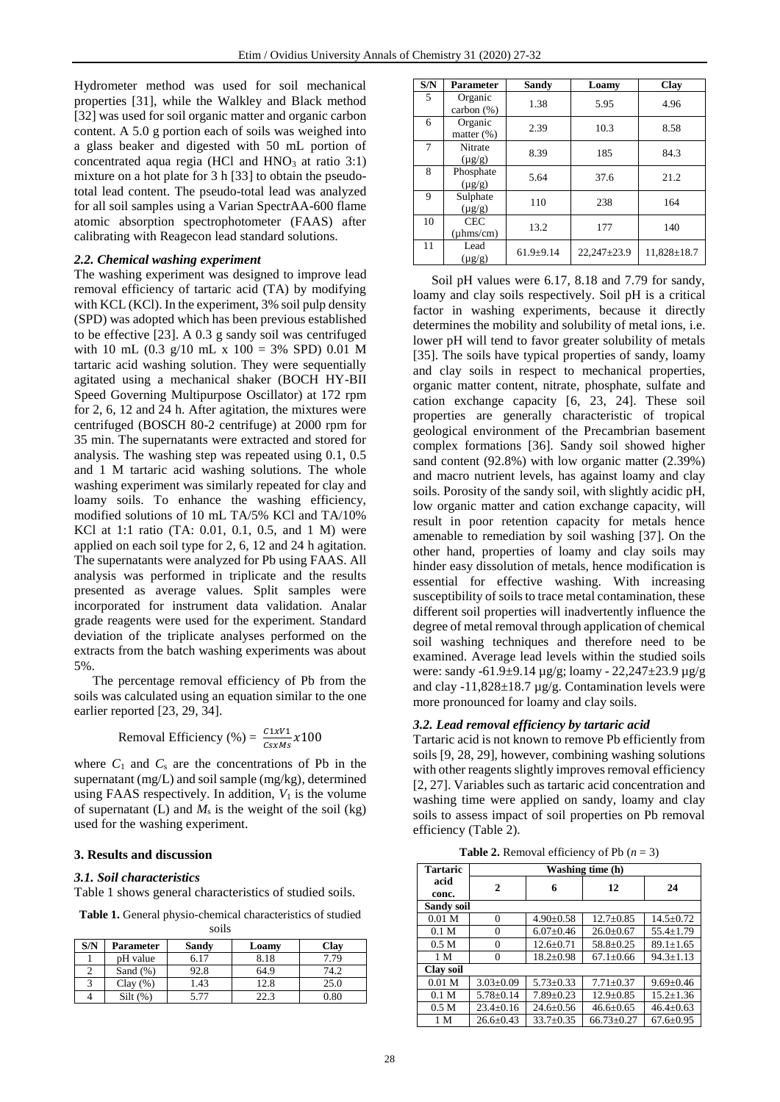Hydrometer method was used for soil mechanical properties [31], while the Walkley and Black method [32] was used for soil organic matter and organic carbon content. A 5.0 g portion each of soils was weighed into a glass beaker and digested with 50 mL portion of concentrated aqua regia (HCl and  $HNO<sub>3</sub>$  at ratio 3:1) mixture on a hot plate for 3 h [33] to obtain the pseudototal lead content. The pseudo-total lead was analyzed for all soil samples using a Varian SpectrAA-600 flame atomic absorption spectrophotometer (FAAS) after calibrating with Reagecon lead standard solutions.

### *2.2. Chemical washing experiment*

The washing experiment was designed to improve lead removal efficiency of tartaric acid (TA) by modifying with KCL (KCl). In the experiment, 3% soil pulp density (SPD) was adopted which has been previous established to be effective [23]. A 0.3 g sandy soil was centrifuged with 10 mL (0.3 g/10 mL x 100 = 3% SPD) 0.01 M tartaric acid washing solution. They were sequentially agitated using a mechanical shaker (BOCH HY-BII Speed Governing Multipurpose Oscillator) at 172 rpm for 2, 6, 12 and 24 h. After agitation, the mixtures were centrifuged (BOSCH 80-2 centrifuge) at 2000 rpm for 35 min. The supernatants were extracted and stored for analysis. The washing step was repeated using 0.1, 0.5 and 1 M tartaric acid washing solutions. The whole washing experiment was similarly repeated for clay and loamy soils. To enhance the washing efficiency, modified solutions of 10 mL TA/5% KCl and TA/10% KCl at 1:1 ratio (TA: 0.01, 0.1, 0.5, and 1 M) were applied on each soil type for 2, 6, 12 and 24 h agitation. The supernatants were analyzed for Pb using FAAS. All analysis was performed in triplicate and the results presented as average values. Split samples were incorporated for instrument data validation. Analar grade reagents were used for the experiment. Standard deviation of the triplicate analyses performed on the extracts from the batch washing experiments was about 5%.

The percentage removal efficiency of Pb from the soils was calculated using an equation similar to the one earlier reported [23, 29, 34].

Removal Efficiency (%) = 
$$
\frac{C1xV1}{CsxMs}x100
$$

where  $C_1$  and  $C_s$  are the concentrations of Pb in the supernatant (mg/L) and soil sample (mg/kg), determined using FAAS respectively. In addition,  $V_1$  is the volume of supernatant (L) and  $M_s$  is the weight of the soil (kg) used for the washing experiment.

## **3. Results and discussion**

#### *3.1. Soil characteristics*

Table 1 shows general characteristics of studied soils.

**Table 1.** General physio-chemical characteristics of studied

| soils |  |
|-------|--|

| S/N | <b>Parameter</b> | Sandy | Loamy | Clay |
|-----|------------------|-------|-------|------|
|     | pH value         | 6.17  | 8.18  | 7.79 |
|     | Sand $(\%)$      | 92.8  | 64.9  | 74.2 |
|     | Clav(%)          | . 43  | 12.8  | 25.0 |
|     | $Silt(\%)$       |       | 22.3  | 0.80 |

| S/N | Parameter                    | Sandy         | Loamy             | Clay              |
|-----|------------------------------|---------------|-------------------|-------------------|
| 5   | Organic<br>carbon $(\%)$     | 1.38          | 5.95              | 4.96              |
| 6   | Organic<br>matter (%)        | 2.39          | 10.3              | 8.58              |
| 7   | Nitrate<br>$(\mu g/g)$       | 8.39          | 185               | 84.3              |
| 8   | Phosphate<br>$(\mu g/g)$     | 5.64          | 37.6              | 21.2              |
| 9   | Sulphate<br>$(\mu g/g)$      | 110           | 238               | 164               |
| 10  | <b>CEC</b><br>$(\mu hms/cm)$ | 13.2          | 177               | 140               |
| 11  | Lead<br>$(\mu g/g)$          | $61.9 + 9.14$ | $22,247 \pm 23.9$ | $11.828 \pm 18.7$ |

Soil pH values were 6.17, 8.18 and 7.79 for sandy, loamy and clay soils respectively. Soil pH is a critical factor in washing experiments, because it directly determines the mobility and solubility of metal ions, i.e. lower pH will tend to favor greater solubility of metals [35]. The soils have typical properties of sandy, loamy and clay soils in respect to mechanical properties, organic matter content, nitrate, phosphate, sulfate and cation exchange capacity [6, 23, 24]. These soil properties are generally characteristic of tropical geological environment of the Precambrian basement complex formations [36]. Sandy soil showed higher sand content (92.8%) with low organic matter (2.39%) and macro nutrient levels, has against loamy and clay soils. Porosity of the sandy soil, with slightly acidic pH, low organic matter and cation exchange capacity, will result in poor retention capacity for metals hence amenable to remediation by soil washing [37]. On the other hand, properties of loamy and clay soils may hinder easy dissolution of metals, hence modification is essential for effective washing. With increasing susceptibility of soils to trace metal contamination, these different soil properties will inadvertently influence the degree of metal removal through application of chemical soil washing techniques and therefore need to be examined. Average lead levels within the studied soils were: sandy -61.9±9.14 µg/g; loamy - 22,247±23.9 µg/g and clay -11,828 $\pm$ 18.7 µg/g. Contamination levels were more pronounced for loamy and clay soils.

## *3.2. Lead removal efficiency by tartaric acid*

Tartaric acid is not known to remove Pb efficiently from soils [9, 28, 29], however, combining washing solutions with other reagents slightly improves removal efficiency [2, 27]. Variables such as tartaric acid concentration and washing time were applied on sandy, loamy and clay soils to assess impact of soil properties on Pb removal efficiency (Table 2).

**Table 2.** Removal efficiency of Pb  $(n = 3)$ 

| <b>Tartaric</b>   | Washing time (h) |                 |                  |                 |
|-------------------|------------------|-----------------|------------------|-----------------|
| acid<br>conc.     | 2                | 6               | 12               | 24              |
| <b>Sandy soil</b> |                  |                 |                  |                 |
| 0.01 <sub>M</sub> | 0                | $4.90 \pm 0.58$ | $12.7 + 0.85$    | $14.5 + 0.72$   |
| 0.1 <sub>M</sub>  | 0                | $6.07+0.46$     | $26.0+0.67$      | $55.4 + 1.79$   |
| 0.5 <sub>M</sub>  | 0                | $12.6 \pm 0.71$ | $58.8 \pm 0.25$  | $89.1 \pm 1.65$ |
| 1 M               | 0                | $18.2 \pm 0.98$ | $67.1 \pm 0.66$  | $94.3 \pm 1.13$ |
| <b>Clay soil</b>  |                  |                 |                  |                 |
| 0.01 <sub>M</sub> | $3.03 \pm 0.09$  | $5.73 \pm 0.33$ | $7.71 \pm 0.37$  | $9.69 \pm 0.46$ |
| 0.1 <sub>M</sub>  | $5.78 \pm 0.14$  | $7.89 \pm 0.23$ | $12.9 \pm 0.85$  | $15.2 \pm 1.36$ |
| 0.5 <sub>M</sub>  | $23.4 \pm 0.16$  | $24.6 \pm 0.56$ | $46.6 \pm 0.65$  | $46.4 \pm 0.63$ |
| 1 M               | $26.6 + 0.43$    | $33.7 \pm 0.35$ | $66.73 \pm 0.27$ | $67.6 \pm 0.95$ |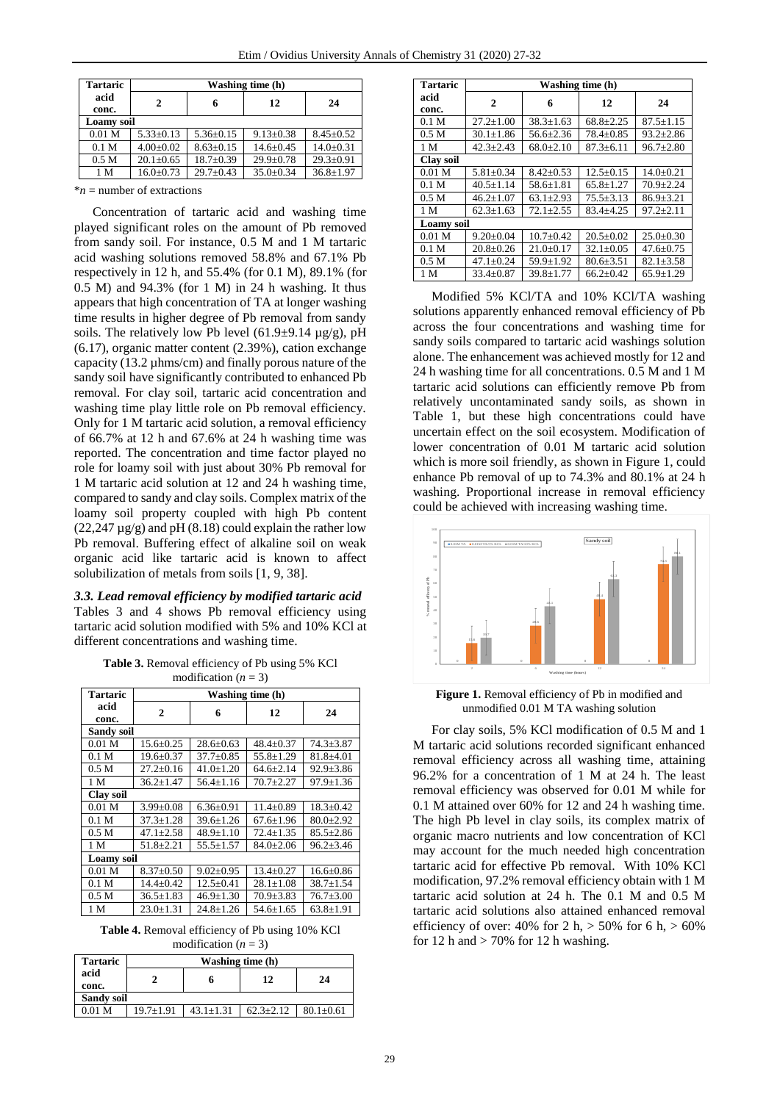| <b>Tartaric</b>   | Washing time (h) |                 |                 |                 |
|-------------------|------------------|-----------------|-----------------|-----------------|
| acid<br>conc.     | 2                | 6               | 12              | 24              |
| <b>Loamy</b> soil |                  |                 |                 |                 |
| $0.01$ M          | $5.33 \pm 0.13$  | $5.36 + 0.15$   | $9.13 + 0.38$   | $8.45 + 0.52$   |
| 0.1 <sub>M</sub>  | $4.00 \pm 0.02$  | $8.63 \pm 0.15$ | $14.6 \pm 0.45$ | $14.0 \pm 0.31$ |
| 0.5 <sub>M</sub>  | $20.1 + 0.65$    | $18.7 \pm 0.39$ | $29.9 + 0.78$   | $29.3 \pm 0.91$ |
| 1 M               | $16.0 + 0.73$    | $29.7+0.43$     | $35.0 + 0.34$   | $36.8 + 1.97$   |

\**n* = number of extractions

Concentration of tartaric acid and washing time played significant roles on the amount of Pb removed from sandy soil. For instance, 0.5 M and 1 M tartaric acid washing solutions removed 58.8% and 67.1% Pb respectively in 12 h, and 55.4% (for 0.1 M), 89.1% (for 0.5 M) and 94.3% (for 1 M) in 24 h washing. It thus appears that high concentration of TA at longer washing time results in higher degree of Pb removal from sandy soils. The relatively low Pb level  $(61.9\pm9.14 \text{ µg/g})$ , pH (6.17), organic matter content (2.39%), cation exchange capacity (13.2 µhms/cm) and finally porous nature of the sandy soil have significantly contributed to enhanced Pb removal. For clay soil, tartaric acid concentration and washing time play little role on Pb removal efficiency. Only for 1 M tartaric acid solution, a removal efficiency of 66.7% at 12 h and 67.6% at 24 h washing time was reported. The concentration and time factor played no role for loamy soil with just about 30% Pb removal for 1 M tartaric acid solution at 12 and 24 h washing time, compared to sandy and clay soils. Complex matrix of the loamy soil property coupled with high Pb content  $(22,247 \,\mu$ g/g) and pH  $(8.18)$  could explain the rather low Pb removal. Buffering effect of alkaline soil on weak organic acid like tartaric acid is known to affect solubilization of metals from soils [1, 9, 38].

*3.3. Lead removal efficiency by modified tartaric acid* Tables 3 and 4 shows Pb removal efficiency using tartaric acid solution modified with 5% and 10% KCl at different concentrations and washing time.

**Table 3.** Removal efficiency of Pb using 5% KCl modification  $(n = 3)$ 

| Tartaric          | Washing time (h) |                 |                 |                 |
|-------------------|------------------|-----------------|-----------------|-----------------|
| acid<br>conc.     | $\mathbf{2}$     | 6               | 12              | 24              |
| <b>Sandy soil</b> |                  |                 |                 |                 |
| 0.01 <sub>M</sub> | $15.6 \pm 0.25$  | $28.6 \pm 0.63$ | $48.4 \pm 0.37$ | $74.3 \pm 3.87$ |
| 0.1 <sub>M</sub>  | $19.6 \pm 0.37$  | $37.7 + 0.85$   | $55.8 \pm 1.29$ | $81.8 + 4.01$   |
| 0.5 <sub>M</sub>  | $27.2+0.16$      | $41.0 \pm 1.20$ | $64.6 \pm 2.14$ | $92.9 \pm 3.86$ |
| 1 M               | $36.2 + 1.47$    | $56.4 + 1.16$   | $70.7 + 2.27$   | $97.9 + 1.36$   |
| <b>Clay soil</b>  |                  |                 |                 |                 |
| 0.01 <sub>M</sub> | $3.99 \pm 0.08$  | $6.36 \pm 0.91$ | $11.4 + 0.89$   | $18.3 \pm 0.42$ |
| 0.1 <sub>M</sub>  | $37.3 + 1.28$    | $39.6 + 1.26$   | $67.6 + 1.96$   | $80.0 \pm 2.92$ |
| 0.5 <sub>M</sub>  | $47.1 + 2.58$    | $48.9 \pm 1.10$ | $72.4 + 1.35$   | $85.5 \pm 2.86$ |
| 1 M               | $51.8 + 2.21$    | $55.5 + 1.57$   | $84.0 \pm 2.06$ | $96.2 \pm 3.46$ |
| Loamy soil        |                  |                 |                 |                 |
| 0.01 <sub>M</sub> | $8.37+0.50$      | $9.02 + 0.95$   | $13.4 + 0.27$   | $16.6 \pm 0.86$ |
| 0.1 <sub>M</sub>  | $14.4 + 0.42$    | $12.5 + 0.41$   | $28.1 + 1.08$   | $38.7 \pm 1.54$ |
| 0.5 <sub>M</sub>  | $36.5 \pm 1.83$  | $46.9 \pm 1.30$ | $70.9 \pm 3.83$ | $76.7 \pm 3.00$ |
| 1 M               | $23.0 \pm 1.31$  | $24.8 + 1.26$   | $54.6 \pm 1.65$ | $63.8 \pm 1.91$ |

**Table 4.** Removal efficiency of Pb using 10% KCl modification  $(n = 3)$ 

| <b>Tartaric</b>   | Washing time (h) |               |               |                 |
|-------------------|------------------|---------------|---------------|-----------------|
| acid<br>conc.     |                  |               | 12            | 24              |
| <b>Sandy soil</b> |                  |               |               |                 |
| 0.01 <sub>M</sub> | $19.7 + 1.91$    | $43.1 + 1.31$ | $62.3 + 2.12$ | $80.1 \pm 0.61$ |

| <b>Tartaric</b>   | Washing time (h) |                 |                 |                 |
|-------------------|------------------|-----------------|-----------------|-----------------|
| acid<br>conc.     | $\mathbf{2}$     | 6               | 12              | 24              |
| 0.1 <sub>M</sub>  | $27.2 + 1.00$    | $38.3 + 1.63$   | $68.8 + 2.25$   | $87.5 \pm 1.15$ |
| 0.5 <sub>M</sub>  | $30.1 + 1.86$    | $56.6 + 2.36$   | $78.4 + 0.85$   | $93.2 + 2.86$   |
| 1 M               | $42.3 \pm 2.43$  | $68.0 \pm 2.10$ | $87.3 \pm 6.11$ | $96.7 \pm 2.80$ |
| <b>Clay soil</b>  |                  |                 |                 |                 |
| $0.01$ M          | $5.81 + 0.34$    | $8.42 + 0.53$   | $12.5 + 0.15$   | $14.0 + 0.21$   |
| 0.1 <sub>M</sub>  | $40.5 + 1.14$    | $58.6 + 1.81$   | $65.8 + 1.27$   | $70.9 \pm 2.24$ |
| 0.5 <sub>M</sub>  | $46.2 + 1.07$    | $63.1 + 2.93$   | $75.5 + 3.13$   | $86.9 + 3.21$   |
| 1 M               | $62.3 \pm 1.63$  | $72.1 + 2.55$   | $83.4 + 4.25$   | $97.2 + 2.11$   |
| <b>Loamy</b> soil |                  |                 |                 |                 |
| 0.01 <sub>M</sub> | $9.20 \pm 0.04$  | $10.7 + 0.42$   | $20.5 \pm 0.02$ | $25.0 \pm 0.30$ |
| 0.1 <sub>M</sub>  | $20.8 \pm 0.26$  | $21.0+0.17$     | $32.1 + 0.05$   | $47.6 \pm 0.75$ |
| 0.5 <sub>M</sub>  | $47.1 \pm 0.24$  | $59.9 \pm 1.92$ | $80.6 \pm 3.51$ | $82.1 + 3.58$   |
| 1 M               | $33.4 \pm 0.87$  | $39.8 \pm 1.77$ | $66.2 \pm 0.42$ | $65.9 \pm 1.29$ |

Modified 5% KCl/TA and 10% KCl/TA washing solutions apparently enhanced removal efficiency of Pb across the four concentrations and washing time for sandy soils compared to tartaric acid washings solution alone. The enhancement was achieved mostly for 12 and 24 h washing time for all concentrations. 0.5 M and 1 M tartaric acid solutions can efficiently remove Pb from relatively uncontaminated sandy soils, as shown in Table 1, but these high concentrations could have uncertain effect on the soil ecosystem. Modification of lower concentration of 0.01 M tartaric acid solution which is more soil friendly, as shown in Figure 1, could enhance Pb removal of up to 74.3% and 80.1% at 24 h washing. Proportional increase in removal efficiency could be achieved with increasing washing time.



**Figure 1.** Removal efficiency of Pb in modified and unmodified 0.01 M TA washing solution

For clay soils, 5% KCl modification of 0.5 M and 1 M tartaric acid solutions recorded significant enhanced removal efficiency across all washing time, attaining 96.2% for a concentration of 1 M at 24 h. The least removal efficiency was observed for 0.01 M while for 0.1 M attained over 60% for 12 and 24 h washing time. The high Pb level in clay soils, its complex matrix of organic macro nutrients and low concentration of KCl may account for the much needed high concentration tartaric acid for effective Pb removal. With 10% KCl modification, 97.2% removal efficiency obtain with 1 M tartaric acid solution at 24 h. The 0.1 M and 0.5 M tartaric acid solutions also attained enhanced removal efficiency of over: 40% for 2 h,  $> 50\%$  for 6 h,  $> 60\%$ for 12 h and  $>$  70% for 12 h washing.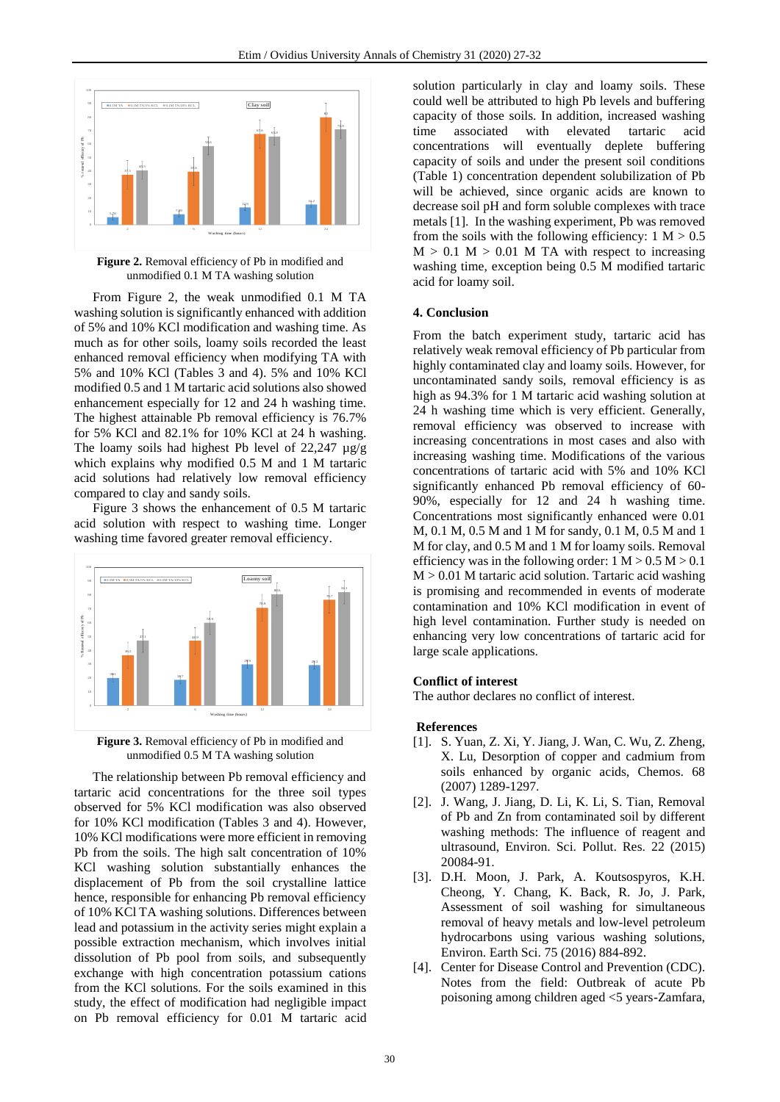

**Figure 2.** Removal efficiency of Pb in modified and unmodified 0.1 M TA washing solution

From Figure 2, the weak unmodified 0.1 M TA washing solution is significantly enhanced with addition of 5% and 10% KCl modification and washing time. As much as for other soils, loamy soils recorded the least enhanced removal efficiency when modifying TA with 5% and 10% KCl (Tables 3 and 4). 5% and 10% KCl modified 0.5 and 1 M tartaric acid solutions also showed enhancement especially for 12 and 24 h washing time. The highest attainable Pb removal efficiency is 76.7% for 5% KCl and 82.1% for 10% KCl at 24 h washing. The loamy soils had highest Pb level of  $22,247 \mu$ g/g which explains why modified 0.5 M and 1 M tartaric acid solutions had relatively low removal efficiency compared to clay and sandy soils.

Figure 3 shows the enhancement of 0.5 M tartaric acid solution with respect to washing time. Longer washing time favored greater removal efficiency.



**Figure 3.** Removal efficiency of Pb in modified and unmodified 0.5 M TA washing solution

The relationship between Pb removal efficiency and tartaric acid concentrations for the three soil types observed for 5% KCl modification was also observed for 10% KCl modification (Tables 3 and 4). However, 10% KCl modifications were more efficient in removing Pb from the soils. The high salt concentration of 10% KCl washing solution substantially enhances the displacement of Pb from the soil crystalline lattice hence, responsible for enhancing Pb removal efficiency of 10% KCl TA washing solutions. Differences between lead and potassium in the activity series might explain a possible extraction mechanism, which involves initial dissolution of Pb pool from soils, and subsequently exchange with high concentration potassium cations from the KCl solutions. For the soils examined in this study, the effect of modification had negligible impact on Pb removal efficiency for 0.01 M tartaric acid

solution particularly in clay and loamy soils. These could well be attributed to high Pb levels and buffering capacity of those soils. In addition, increased washing time associated with elevated tartaric acid concentrations will eventually deplete buffering capacity of soils and under the present soil conditions (Table 1) concentration dependent solubilization of Pb will be achieved, since organic acids are known to decrease soil pH and form soluble complexes with trace metals [1]. In the washing experiment, Pb was removed from the soils with the following efficiency:  $1 M > 0.5$  $M > 0.1$  M  $> 0.01$  M TA with respect to increasing washing time, exception being 0.5 M modified tartaric acid for loamy soil.

#### **4. Conclusion**

From the batch experiment study, tartaric acid has relatively weak removal efficiency of Pb particular from highly contaminated clay and loamy soils. However, for uncontaminated sandy soils, removal efficiency is as high as 94.3% for 1 M tartaric acid washing solution at 24 h washing time which is very efficient. Generally, removal efficiency was observed to increase with increasing concentrations in most cases and also with increasing washing time. Modifications of the various concentrations of tartaric acid with 5% and 10% KCl significantly enhanced Pb removal efficiency of 60- 90%, especially for 12 and 24 h washing time. Concentrations most significantly enhanced were 0.01 M, 0.1 M, 0.5 M and 1 M for sandy, 0.1 M, 0.5 M and 1 M for clay, and 0.5 M and 1 M for loamy soils. Removal efficiency was in the following order:  $1 M > 0.5 M > 0.1$  $M > 0.01$  M tartaric acid solution. Tartaric acid washing is promising and recommended in events of moderate contamination and 10% KCl modification in event of high level contamination. Further study is needed on enhancing very low concentrations of tartaric acid for large scale applications.

## **Conflict of interest**

The author declares no conflict of interest.

#### **References**

- [1]. S. Yuan, Z. Xi, Y. Jiang, J. Wan, C. Wu, Z. Zheng, X. Lu, Desorption of copper and cadmium from soils enhanced by organic acids, Chemos. 68 (2007) 1289-1297.
- [2]. J. Wang, J. Jiang, D. Li, K. Li, S. Tian, Removal of Pb and Zn from contaminated soil by different washing methods: The influence of reagent and ultrasound, Environ. Sci. Pollut. Res. 22 (2015) 20084-91.
- [3]. D.H. Moon, J. Park, A. Koutsospyros, K.H. Cheong, Y. Chang, K. Back, R. Jo, J. Park, Assessment of soil washing for simultaneous removal of heavy metals and low-level petroleum hydrocarbons using various washing solutions, Environ. Earth Sci. 75 (2016) 884-892.
- [4]. Center for Disease Control and Prevention (CDC). Notes from the field: Outbreak of acute Pb poisoning among children aged <5 years-Zamfara,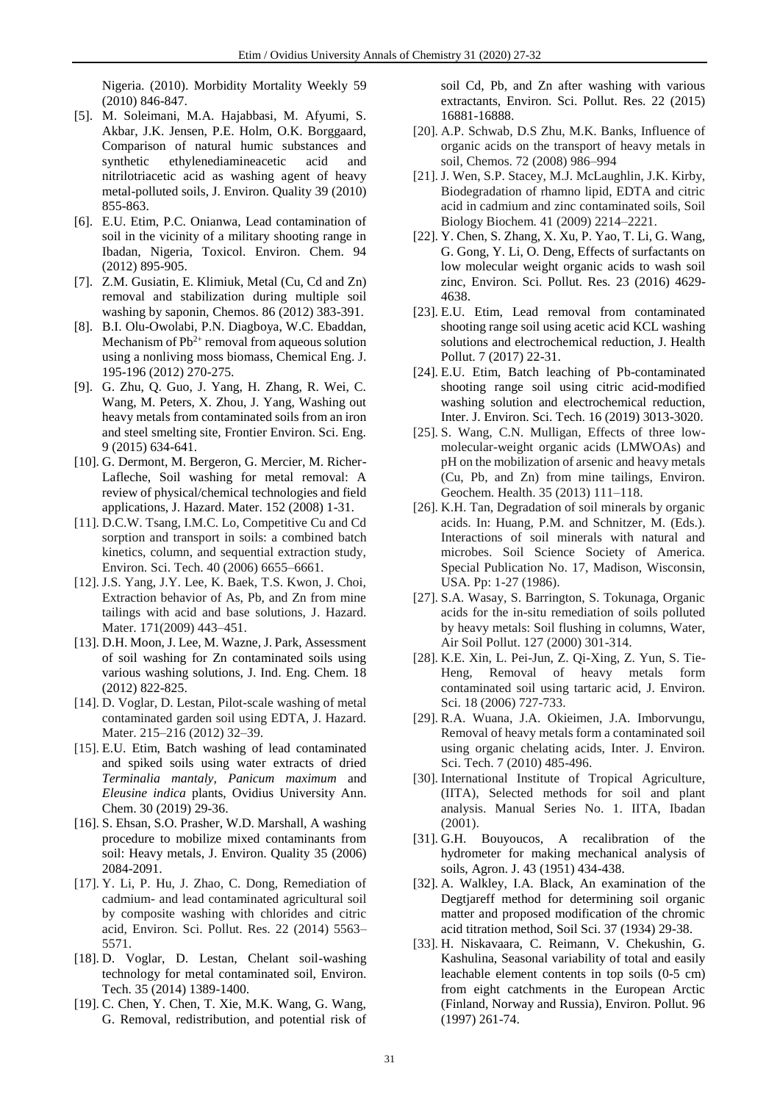Nigeria. (2010). Morbidity Mortality Weekly 59 (2010) 846-847.

- [5]. M. Soleimani, M.A. Hajabbasi, M. Afyumi, S. Akbar, J.K. Jensen, P.E. Holm, O.K. Borggaard, Comparison of natural humic substances and synthetic ethylenediamineacetic acid and nitrilotriacetic acid as washing agent of heavy metal-polluted soils, J. Environ. Quality 39 (2010) 855-863.
- [6]. E.U. Etim, P.C. Onianwa, Lead contamination of soil in the vicinity of a military shooting range in Ibadan, Nigeria, Toxicol. Environ. Chem. 94 (2012) 895-905.
- [7]. Z.M. Gusiatin, E. Klimiuk, Metal (Cu, Cd and Zn) removal and stabilization during multiple soil washing by saponin, Chemos. 86 (2012) 383-391.
- [8]. B.I. Olu-Owolabi, P.N. Diagboya, W.C. Ebaddan, Mechanism of  $Pb^{2+}$  removal from aqueous solution using a nonliving moss biomass, Chemical Eng. J. 195-196 (2012) 270-275.
- [9]. G. Zhu, Q. Guo, J. Yang, H. Zhang, R. Wei, C. Wang, M. Peters, X. Zhou, J. Yang, Washing out heavy metals from contaminated soils from an iron and steel smelting site, Frontier Environ. Sci. Eng. 9 (2015) 634-641.
- [10]. G. Dermont, M. Bergeron, G. Mercier, M. Richer-Lafleche, Soil washing for metal removal: A review of physical/chemical technologies and field applications, J. Hazard. Mater. 152 (2008) 1-31.
- [11]. D.C.W. Tsang, I.M.C. Lo, Competitive Cu and Cd sorption and transport in soils: a combined batch kinetics, column, and sequential extraction study, Environ. Sci. Tech. 40 (2006) 6655–6661.
- [12]. J.S. Yang, J.Y. Lee, K. Baek, T.S. Kwon, J. Choi, Extraction behavior of As, Pb, and Zn from mine tailings with acid and base solutions, J. Hazard. Mater. 171(2009) 443–451.
- [13]. D.H. Moon, J. Lee, M. Wazne, J. Park, Assessment of soil washing for Zn contaminated soils using various washing solutions, J. Ind. Eng. Chem. 18 (2012) 822-825.
- [14]. D. Voglar, D. Lestan, Pilot-scale washing of metal contaminated garden soil using EDTA, J. Hazard. Mater. 215–216 (2012) 32–39.
- [15]. E.U. Etim, Batch washing of lead contaminated and spiked soils using water extracts of dried *Terminalia mantaly, Panicum maximum* and *Eleusine indica* plants, Ovidius University Ann. Chem. 30 (2019) 29-36.
- [16]. S. Ehsan, S.O. Prasher, W.D. Marshall, A washing procedure to mobilize mixed contaminants from soil: Heavy metals, J. Environ. Quality 35 (2006) 2084-2091.
- [17]. Y. Li, P. Hu, J. Zhao, C. Dong, Remediation of cadmium- and lead contaminated agricultural soil by composite washing with chlorides and citric acid, Environ. Sci. Pollut. Res. 22 (2014) 5563– 5571.
- [18]. D. Voglar, D. Lestan, Chelant soil-washing technology for metal contaminated soil, Environ. Tech. 35 (2014) 1389-1400.
- [19]. C. Chen, Y. Chen, T. Xie, M.K. Wang, G. Wang, G. Removal, redistribution, and potential risk of

soil Cd, Pb, and Zn after washing with various extractants, Environ. Sci. Pollut. Res. 22 (2015) 16881-16888.

- [20]. A.P. Schwab, D.S Zhu, M.K. Banks, Influence of organic acids on the transport of heavy metals in soil, Chemos. 72 (2008) 986–994
- [21]. J. Wen, S.P. Stacey, M.J. McLaughlin, J.K. Kirby, Biodegradation of rhamno lipid, EDTA and citric acid in cadmium and zinc contaminated soils, Soil Biology Biochem. 41 (2009) 2214–2221.
- [22]. Y. Chen, S. Zhang, X. Xu, P. Yao, T. Li, G. Wang, G. Gong, Y. Li, O. Deng, Effects of surfactants on low molecular weight organic acids to wash soil zinc, Environ. Sci. Pollut. Res. 23 (2016) 4629- 4638.
- [23]. E.U. Etim, Lead removal from contaminated shooting range soil using acetic acid KCL washing solutions and electrochemical reduction, J. Health Pollut. 7 (2017) 22-31.
- [24]. E.U. Etim, Batch leaching of Pb-contaminated shooting range soil using citric acid-modified washing solution and electrochemical reduction, Inter. J. Environ. Sci. Tech. 16 (2019) 3013-3020.
- [25]. S. Wang, C.N. Mulligan, Effects of three lowmolecular-weight organic acids (LMWOAs) and pH on the mobilization of arsenic and heavy metals (Cu, Pb, and Zn) from mine tailings, Environ. Geochem. Health. 35 (2013) 111–118.
- [26]. K.H. Tan, Degradation of soil minerals by organic acids. In: Huang, P.M. and Schnitzer, M. (Eds.). Interactions of soil minerals with natural and microbes. Soil Science Society of America. Special Publication No. 17, Madison, Wisconsin, USA. Pp: 1-27 (1986).
- [27]. S.A. Wasay, S. Barrington, S. Tokunaga, Organic acids for the in-situ remediation of soils polluted by heavy metals: Soil flushing in columns, Water, Air Soil Pollut. 127 (2000) 301-314.
- [28]. K.E. Xin, L. Pei-Jun, Z. Qi-Xing, Z. Yun, S. Tie-Heng, Removal of heavy metals form contaminated soil using tartaric acid, J. Environ. Sci. 18 (2006) 727-733.
- [29]. R.A. Wuana, J.A. Okieimen, J.A. Imborvungu, Removal of heavy metals form a contaminated soil using organic chelating acids, Inter. J. Environ. Sci. Tech. 7 (2010) 485-496.
- [30]. International Institute of Tropical Agriculture, (IITA), Selected methods for soil and plant analysis. Manual Series No. 1. IITA, Ibadan (2001).
- [31]. G.H. Bouyoucos, A recalibration of the hydrometer for making mechanical analysis of soils, Agron. J. 43 (1951) 434-438.
- [32]. A. Walkley, I.A. Black, An examination of the Degtjareff method for determining soil organic matter and proposed modification of the chromic acid titration method, Soil Sci. 37 (1934) 29-38.
- [33]. H. Niskavaara, C. Reimann, V. Chekushin, G. Kashulina, Seasonal variability of total and easily leachable element contents in top soils (0-5 cm) from eight catchments in the European Arctic (Finland, Norway and Russia), Environ. Pollut. 96 (1997) 261-74.